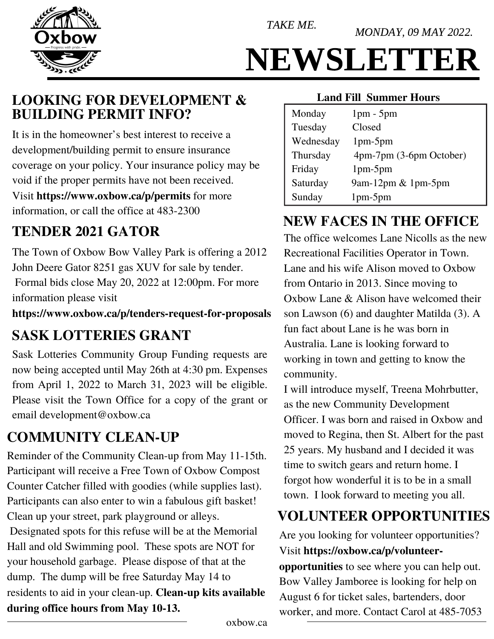

MONDAY, 09 MAY 2022.



# NEWSLETTER

### **LOOKING FOR DEVELOPMENT & Land Fill Summer Hours BUILDING PERMIT INFO?**

It is in the homeowner's best interest to receive a development/building permit to ensure insurance coverage on your policy. Your insurance policy may be void if the proper permits have not been received. Visit **<https://www.oxbow.ca/p/permits>**for more information, or call the office at 483-2300

### **TENDER 2021 GATOR**

The Town of Oxbow Bow Valley Park is offering a 2012 John Deere Gator 8251 gas XUV for sale by tender. Formal bids close May 20, 2022 at 12:00pm. For more information please visit

**<https://www.oxbow.ca/p/tenders-request-for-proposals>**

# **SASK LOTTERIES GRANT**

Sask Lotteries Community Group Funding requests are now being accepted until May 26th at 4:30 pm. Expenses from April 1, 2022 to March 31, 2023 will be eligible. Please visit the Town Office for a copy of the grant or email [development@oxbow.ca](mailto:development@oxbow.ca)

# **COMMUNITY CLEAN-UP**

Reminder of the Community Clean-up from May 11-15th. Participant will receive a Free Town of Oxbow Compost Counter Catcher filled with goodies (while supplies last). Participants can also enter to win a fabulous gift basket! Clean up your street, park playground or alleys. Designated spots for this refuse will be at the Memorial Hall and old Swimming pool. These spots are NOT for your household garbage. Please dispose of that at the dump. The dump will be free Saturday May 14 to residents to aid in your clean-up. **Clean-up kits available during office hours from May 10-13.** 

| Monday    | $1pm - 5pm$             |
|-----------|-------------------------|
| Tuesday   | Closed                  |
| Wednesday | $1pm-5pm$               |
| Thursday  | 4pm-7pm (3-6pm October) |
| Friday    | $1pm-5pm$               |
| Saturday  | 9am-12pm $& 1$ pm-5pm   |
| Sunday    | $1pm-5pm$               |

### **NEW FACES IN THE OFFICE**

The office welcomes Lane Nicolls as the new Recreational Facilities Operator in Town. Lane and his wife Alison moved to Oxbow from Ontario in 2013. Since moving to Oxbow Lane & Alison have welcomed their son Lawson (6) and daughter Matilda (3). A fun fact about Lane is he was born in Australia. Lane is looking forward to working in town and getting to know the community.

I will introduce myself, Treena Mohrbutter, as the new Community Development Officer. I was born and raised in Oxbow and moved to Regina, then St. Albert for the past 25 years. My husband and I decided it was time to switch gears and return home. I forgot how wonderful it is to be in a small town. I look forward to meeting you all.

### **VOLUNTEER OPPORTUNITIES**

Are you looking for volunteer opportunities? Visit **[https://oxbow.ca/p/volunteer](https://oxbow.ca/p/volunteer-opportunities)[opportunities](https://oxbow.ca/p/volunteer-opportunities)** to see where you can help out. Bow Valley Jamboree is looking for help on August 6 for ticket sales, bartenders, door worker, and more. Contact Carol at 485-7053

oxbow.ca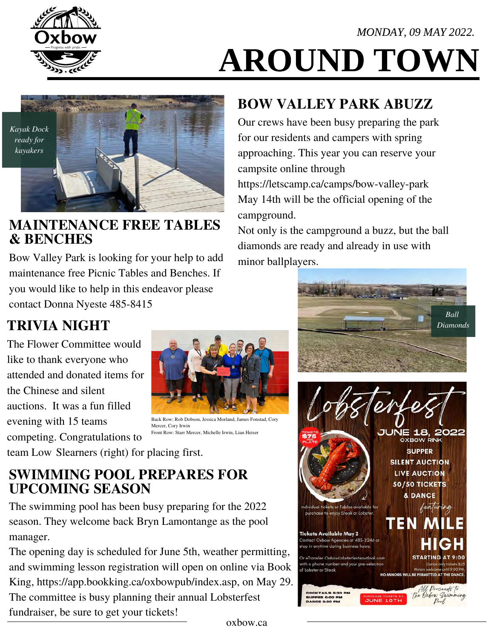#### MONDAY, 09 MAY 2022.



# AROUND TOWN



#### **MAINTENANCE FREE TABLES & BENCHES**

Bow Valley Park is looking for your help to add maintenance free Picnic Tables and Benches. If you would like to help in this endeavor please contact Donna Nyeste 485-8415

# **BOW VALLEY PARK ABUZZ**

Our crews have been busy preparing the park for our residents and campers with spring approaching. This year you can reserve your campsite online through <https://letscamp.ca/camps/bow-valley-park> May 14th will be the official opening of the campground.

Not only is the campground a buzz, but the ball diamonds are ready and already in use with minor ballplayers.



The Flower Committee would like to thank everyone who attended and donated items for the Chinese and silent auctions. It was a fun filled evening with 15 teams competing. Congratulations to



Back Row: Rob Dobson, Jessica Morland, James Fonstad, Cory Mercer, Cory Irwin Front Row: Starr Mercer, Michelle Irwin, Lian Heiser

team Low Slearners (right) for placing first.

#### **SWIMMING POOL PREPARES FOR UPCOMING SEASON**

The swimming pool has been busy preparing for the 2022 season. They welcome back Bryn Lamontange as the pool manager.

The opening day is scheduled for June 5th, weather permitting, and swimming lesson registration will open on online via Book King, [https://app.bookking.ca/oxbowpub/index.asp, on](https://app.bookking.ca/oxbowpub/index.asp) May 29. The committee is busy planning their annual Lobsterfest fundraiser, be sure to get your tickets!



oxbow.ca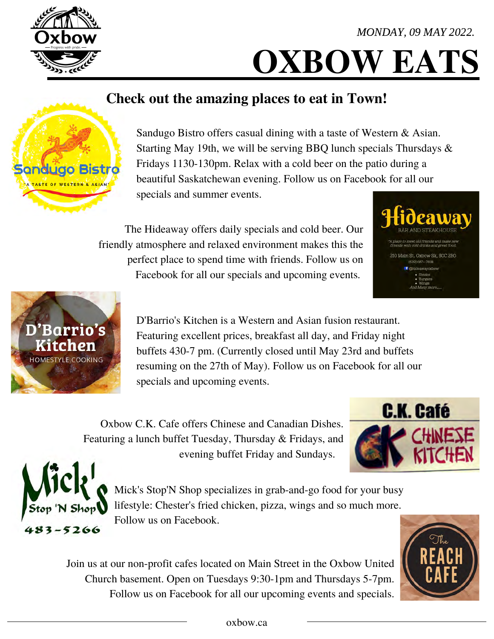# **OXBOW EATS**

# **Check out the amazing places to eat in Town!**

Sandugo Bistro offers casual dining with a taste of Western & Asian. Starting May 19th, we will be serving BBQ lunch specials Thursdays & Fridays 1130-130pm. Relax with a cold beer on the patio during a beautiful Saskatchewan evening. Follow us on Facebook for all our specials and summer events.

The Hideaway offers daily specials and cold beer. Our friendly atmosphere and relaxed environment makes this the perfect place to spend time with friends. Follow us on Facebook for all our specials and upcoming events.

> D'Barrio's Kitchen is a Western and Asian fusion restaurant. Featuring excellent prices, breakfast all day, and Friday night buffets 430-7 pm. (Currently closed until May 23rd and buffets resuming on the 27th of May). Follow us on Facebook for all our specials and upcoming events.

Oxbow C.K. Cafe offers Chinese and Canadian Dishes. Featuring a lunch buffet Tuesday, Thursday & Fridays, and evening buffet Friday and Sundays.

> Mick's Stop'N Shop specializes in grab-and-go food for your busy lifestyle: Chester's fried chicken, pizza, wings and so much more. Follow us on Facebook.

Join us at our non-profit cafes located on Main Street in the Oxbow United Church basement. Open on Tuesdays 9:30-1pm and Thursdays 5-7pm. Follow us on Facebook for all our upcoming events and specials.





 $83 - 5266$ 







**C.K. Café**